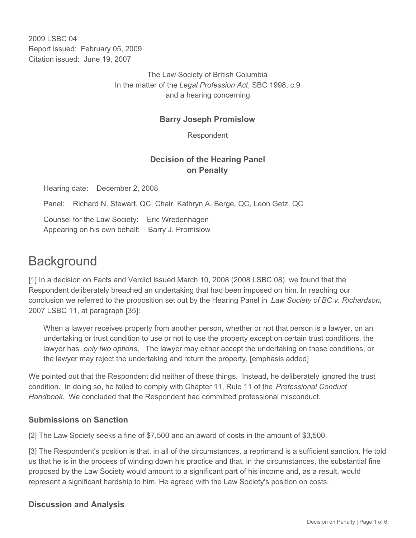2009 LSBC 04 Report issued: February 05, 2009 Citation issued: June 19, 2007

> The Law Society of British Columbia In the matter of the *Legal Profession Act*, SBC 1998, c.9 and a hearing concerning

#### **Barry Joseph Promislow**

Respondent

## **Decision of the Hearing Panel on Penalty**

Hearing date: December 2, 2008

Panel: Richard N. Stewart, QC, Chair, Kathryn A. Berge, QC, Leon Getz, QC

Counsel for the Law Society: Eric Wredenhagen Appearing on his own behalf: Barry J. Promislow

# **Background**

[1] In a decision on Facts and Verdict issued March 10, 2008 (2008 LSBC 08), we found that the Respondent deliberately breached an undertaking that had been imposed on him. In reaching our conclusion we referred to the proposition set out by the Hearing Panel in *Law Society of BC v. Richardson,*  2007 LSBC 11, at paragraph [35]:

When a lawyer receives property from another person, whether or not that person is a lawyer, on an undertaking or trust condition to use or not to use the property except on certain trust conditions, the lawyer has *only two options*. The lawyer may either accept the undertaking on those conditions, or the lawyer may reject the undertaking and return the property. [emphasis added]

We pointed out that the Respondent did neither of these things. Instead, he deliberately ignored the trust condition. In doing so, he failed to comply with Chapter 11, Rule 11 of the *Professional Conduct Handbook*. We concluded that the Respondent had committed professional misconduct.

#### **Submissions on Sanction**

[2] The Law Society seeks a fine of \$7,500 and an award of costs in the amount of \$3,500.

[3] The Respondent's position is that, in all of the circumstances, a reprimand is a sufficient sanction. He told us that he is in the process of winding down his practice and that, in the circumstances, the substantial fine proposed by the Law Society would amount to a significant part of his income and, as a result, would represent a significant hardship to him. He agreed with the Law Society's position on costs.

#### **Discussion and Analysis**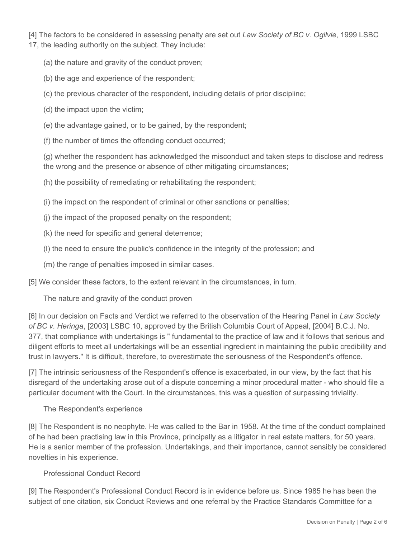[4] The factors to be considered in assessing penalty are set out *Law Society of BC v. Ogilvie*, 1999 LSBC 17, the leading authority on the subject. They include:

- (a) the nature and gravity of the conduct proven;
- (b) the age and experience of the respondent;
- (c) the previous character of the respondent, including details of prior discipline;
- (d) the impact upon the victim;
- (e) the advantage gained, or to be gained, by the respondent;
- (f) the number of times the offending conduct occurred;

(g) whether the respondent has acknowledged the misconduct and taken steps to disclose and redress the wrong and the presence or absence of other mitigating circumstances;

(h) the possibility of remediating or rehabilitating the respondent;

(i) the impact on the respondent of criminal or other sanctions or penalties;

- (j) the impact of the proposed penalty on the respondent;
- (k) the need for specific and general deterrence;
- (l) the need to ensure the public's confidence in the integrity of the profession; and
- (m) the range of penalties imposed in similar cases.

[5] We consider these factors, to the extent relevant in the circumstances, in turn.

The nature and gravity of the conduct proven

[6] In our decision on Facts and Verdict we referred to the observation of the Hearing Panel in *Law Society of BC v. Heringa*, [2003] LSBC 10, approved by the British Columbia Court of Appeal, [2004] B.C.J. No. 377, that compliance with undertakings is " fundamental to the practice of law and it follows that serious and diligent efforts to meet all undertakings will be an essential ingredient in maintaining the public credibility and trust in lawyers." It is difficult, therefore, to overestimate the seriousness of the Respondent's offence.

[7] The intrinsic seriousness of the Respondent's offence is exacerbated, in our view, by the fact that his disregard of the undertaking arose out of a dispute concerning a minor procedural matter - who should file a particular document with the Court. In the circumstances, this was a question of surpassing triviality.

#### The Respondent's experience

[8] The Respondent is no neophyte. He was called to the Bar in 1958. At the time of the conduct complained of he had been practising law in this Province, principally as a litigator in real estate matters, for 50 years. He is a senior member of the profession. Undertakings, and their importance, cannot sensibly be considered novelties in his experience.

#### Professional Conduct Record

[9] The Respondent's Professional Conduct Record is in evidence before us. Since 1985 he has been the subject of one citation, six Conduct Reviews and one referral by the Practice Standards Committee for a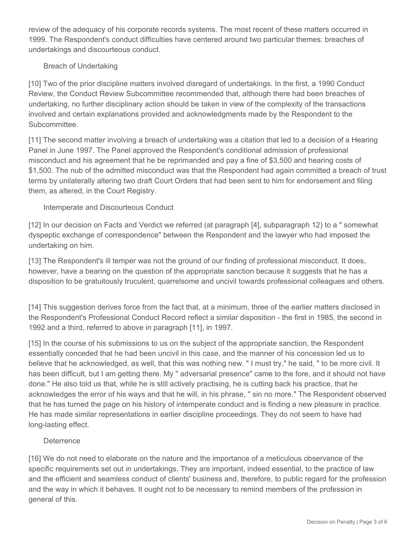review of the adequacy of his corporate records systems. The most recent of these matters occurred in 1999. The Respondent's conduct difficulties have centered around two particular themes: breaches of undertakings and discourteous conduct.

#### Breach of Undertaking

[10] Two of the prior discipline matters involved disregard of undertakings. In the first, a 1990 Conduct Review, the Conduct Review Subcommittee recommended that, although there had been breaches of undertaking, no further disciplinary action should be taken in view of the complexity of the transactions involved and certain explanations provided and acknowledgments made by the Respondent to the Subcommittee.

[11] The second matter involving a breach of undertaking was a citation that led to a decision of a Hearing Panel in June 1997. The Panel approved the Respondent's conditional admission of professional misconduct and his agreement that he be reprimanded and pay a fine of \$3,500 and hearing costs of \$1,500. The nub of the admitted misconduct was that the Respondent had again committed a breach of trust terms by unilaterally altering two draft Court Orders that had been sent to him for endorsement and filing them, as altered, in the Court Registry.

#### Intemperate and Discourteous Conduct

[12] In our decision on Facts and Verdict we referred (at paragraph [4], subparagraph 12) to a " somewhat dyspeptic exchange of correspondence" between the Respondent and the lawyer who had imposed the undertaking on him.

[13] The Respondent's ill temper was not the ground of our finding of professional misconduct. It does, however, have a bearing on the question of the appropriate sanction because it suggests that he has a disposition to be gratuitously truculent, quarrelsome and uncivil towards professional colleagues and others.

[14] This suggestion derives force from the fact that, at a minimum, three of the earlier matters disclosed in the Respondent's Professional Conduct Record reflect a similar disposition - the first in 1985, the second in 1992 and a third, referred to above in paragraph [11], in 1997.

[15] In the course of his submissions to us on the subject of the appropriate sanction, the Respondent essentially conceded that he had been uncivil in this case, and the manner of his concession led us to believe that he acknowledged, as well, that this was nothing new. " I must try," he said, " to be more civil. It has been difficult, but I am getting there. My " adversarial presence" came to the fore, and it should not have done." He also told us that, while he is still actively practising, he is cutting back his practice, that he acknowledges the error of his ways and that he will, in his phrase, " sin no more." The Respondent observed that he has turned the page on his history of intemperate conduct and is finding a new pleasure in practice. He has made similar representations in earlier discipline proceedings. They do not seem to have had long-lasting effect.

#### **Deterrence**

[16] We do not need to elaborate on the nature and the importance of a meticulous observance of the specific requirements set out in undertakings. They are important, indeed essential, to the practice of law and the efficient and seamless conduct of clients' business and, therefore, to public regard for the profession and the way in which it behaves. It ought not to be necessary to remind members of the profession in general of this.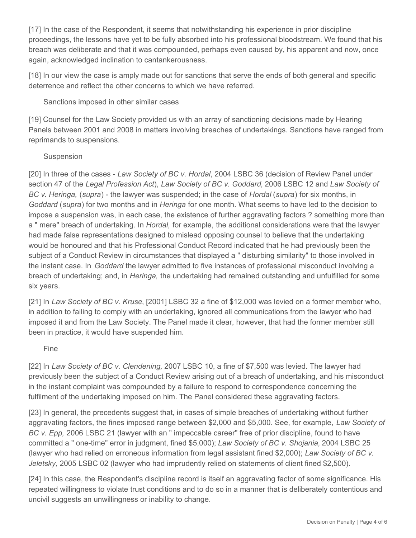[17] In the case of the Respondent, it seems that notwithstanding his experience in prior discipline proceedings, the lessons have yet to be fully absorbed into his professional bloodstream. We found that his breach was deliberate and that it was compounded, perhaps even caused by, his apparent and now, once again, acknowledged inclination to cantankerousness.

[18] In our view the case is amply made out for sanctions that serve the ends of both general and specific deterrence and reflect the other concerns to which we have referred.

Sanctions imposed in other similar cases

[19] Counsel for the Law Society provided us with an array of sanctioning decisions made by Hearing Panels between 2001 and 2008 in matters involving breaches of undertakings. Sanctions have ranged from reprimands to suspensions.

#### Suspension

[20] In three of the cases - *Law Society of BC v. Hordal*, 2004 LSBC 36 (decision of Review Panel under section 47 of the *Legal Profession Act*), *Law Society of BC v. Goddard,* 2006 LSBC 12 and *Law Society of BC v. Heringa,* (*supra*) - the lawyer was suspended; in the case of *Hordal* (*supra*) for six months, in *Goddard* (*supra*) for two months and in *Heringa* for one month. What seems to have led to the decision to impose a suspension was, in each case, the existence of further aggravating factors ? something more than a " mere" breach of undertaking. In *Hordal,* for example, the additional considerations were that the lawyer had made false representations designed to mislead opposing counsel to believe that the undertaking would be honoured and that his Professional Conduct Record indicated that he had previously been the subject of a Conduct Review in circumstances that displayed a " disturbing similarity" to those involved in the instant case. In *Goddard* the lawyer admitted to five instances of professional misconduct involving a breach of undertaking; and, in *Heringa,* the undertaking had remained outstanding and unfulfilled for some six years.

[21] In *Law Society of BC v. Kruse*, [2001] LSBC 32 a fine of \$12,000 was levied on a former member who, in addition to failing to comply with an undertaking, ignored all communications from the lawyer who had imposed it and from the Law Society. The Panel made it clear, however, that had the former member still been in practice, it would have suspended him.

#### Fine

[22] In *Law Society of BC v. Clendening,* 2007 LSBC 10, a fine of \$7,500 was levied. The lawyer had previously been the subject of a Conduct Review arising out of a breach of undertaking, and his misconduct in the instant complaint was compounded by a failure to respond to correspondence concerning the fulfilment of the undertaking imposed on him. The Panel considered these aggravating factors.

[23] In general, the precedents suggest that, in cases of simple breaches of undertaking without further aggravating factors, the fines imposed range between \$2,000 and \$5,000. See, for example, *Law Society of BC v. Epp,* 2006 LSBC 21 (lawyer with an " impeccable career" free of prior discipline, found to have committed a " one-time" error in judgment, fined \$5,000); *Law Society of BC v. Shojania,* 2004 LSBC 25 (lawyer who had relied on erroneous information from legal assistant fined \$2,000); *Law Society of BC v. Jeletsky,* 2005 LSBC 02 (lawyer who had imprudently relied on statements of client fined \$2,500).

[24] In this case, the Respondent's discipline record is itself an aggravating factor of some significance. His repeated willingness to violate trust conditions and to do so in a manner that is deliberately contentious and uncivil suggests an unwillingness or inability to change.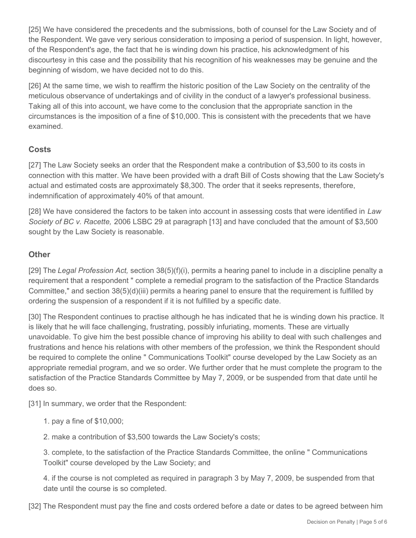[25] We have considered the precedents and the submissions, both of counsel for the Law Society and of the Respondent. We gave very serious consideration to imposing a period of suspension. In light, however, of the Respondent's age, the fact that he is winding down his practice, his acknowledgment of his discourtesy in this case and the possibility that his recognition of his weaknesses may be genuine and the beginning of wisdom, we have decided not to do this.

[26] At the same time, we wish to reaffirm the historic position of the Law Society on the centrality of the meticulous observance of undertakings and of civility in the conduct of a lawyer's professional business. Taking all of this into account, we have come to the conclusion that the appropriate sanction in the circumstances is the imposition of a fine of \$10,000. This is consistent with the precedents that we have examined.

### **Costs**

[27] The Law Society seeks an order that the Respondent make a contribution of \$3,500 to its costs in connection with this matter. We have been provided with a draft Bill of Costs showing that the Law Society's actual and estimated costs are approximately \$8,300. The order that it seeks represents, therefore, indemnification of approximately 40% of that amount.

[28] We have considered the factors to be taken into account in assessing costs that were identified in *Law Society of BC v. Racette,* 2006 LSBC 29 at paragraph [13] and have concluded that the amount of \$3,500 sought by the Law Society is reasonable.

## **Other**

[29] The *Legal Profession Act,* section 38(5)(f)(i), permits a hearing panel to include in a discipline penalty a requirement that a respondent " complete a remedial program to the satisfaction of the Practice Standards Committee," and section 38(5)(d)(iii) permits a hearing panel to ensure that the requirement is fulfilled by ordering the suspension of a respondent if it is not fulfilled by a specific date.

[30] The Respondent continues to practise although he has indicated that he is winding down his practice. It is likely that he will face challenging, frustrating, possibly infuriating, moments. These are virtually unavoidable. To give him the best possible chance of improving his ability to deal with such challenges and frustrations and hence his relations with other members of the profession, we think the Respondent should be required to complete the online " Communications Toolkit" course developed by the Law Society as an appropriate remedial program, and we so order. We further order that he must complete the program to the satisfaction of the Practice Standards Committee by May 7, 2009, or be suspended from that date until he does so.

[31] In summary, we order that the Respondent:

1. pay a fine of \$10,000;

2. make a contribution of \$3,500 towards the Law Society's costs;

3. complete, to the satisfaction of the Practice Standards Committee, the online " Communications Toolkit" course developed by the Law Society; and

4. if the course is not completed as required in paragraph 3 by May 7, 2009, be suspended from that date until the course is so completed.

[32] The Respondent must pay the fine and costs ordered before a date or dates to be agreed between him